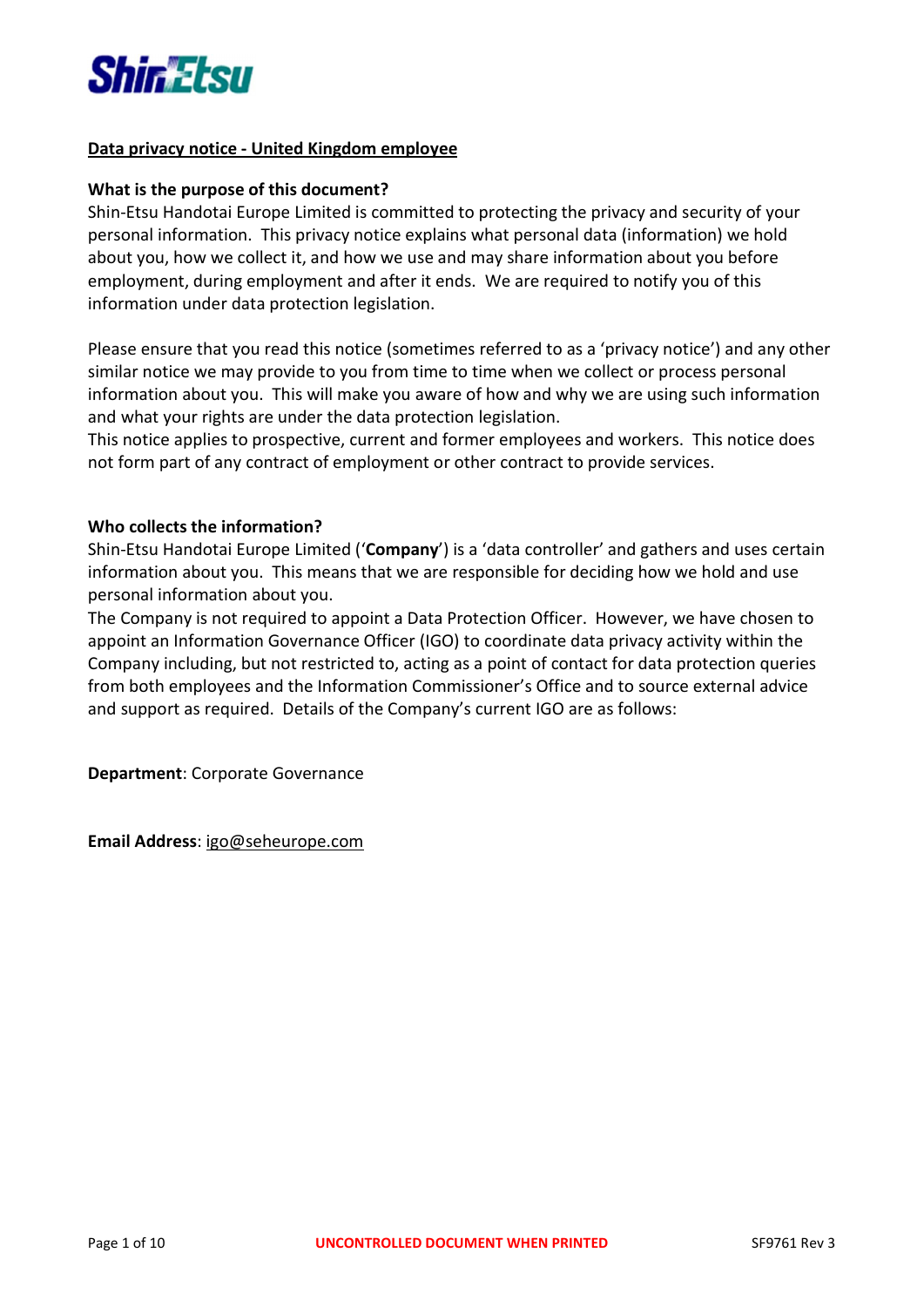

## Data privacy notice - United Kingdom employee

### What is the purpose of this document?

Shin-Etsu Handotai Europe Limited is committed to protecting the privacy and security of your personal information. This privacy notice explains what personal data (information) we hold about you, how we collect it, and how we use and may share information about you before employment, during employment and after it ends. We are required to notify you of this information under data protection legislation.

Please ensure that you read this notice (sometimes referred to as a 'privacy notice') and any other similar notice we may provide to you from time to time when we collect or process personal information about you. This will make you aware of how and why we are using such information and what your rights are under the data protection legislation.

This notice applies to prospective, current and former employees and workers. This notice does not form part of any contract of employment or other contract to provide services.

### Who collects the information?

Shin-Etsu Handotai Europe Limited ('Company') is a 'data controller' and gathers and uses certain information about you. This means that we are responsible for deciding how we hold and use personal information about you.

The Company is not required to appoint a Data Protection Officer. However, we have chosen to appoint an Information Governance Officer (IGO) to coordinate data privacy activity within the Company including, but not restricted to, acting as a point of contact for data protection queries from both employees and the Information Commissioner's Office and to source external advice and support as required. Details of the Company's current IGO are as follows:

Department: Corporate Governance

Email Address: igo@seheurope.com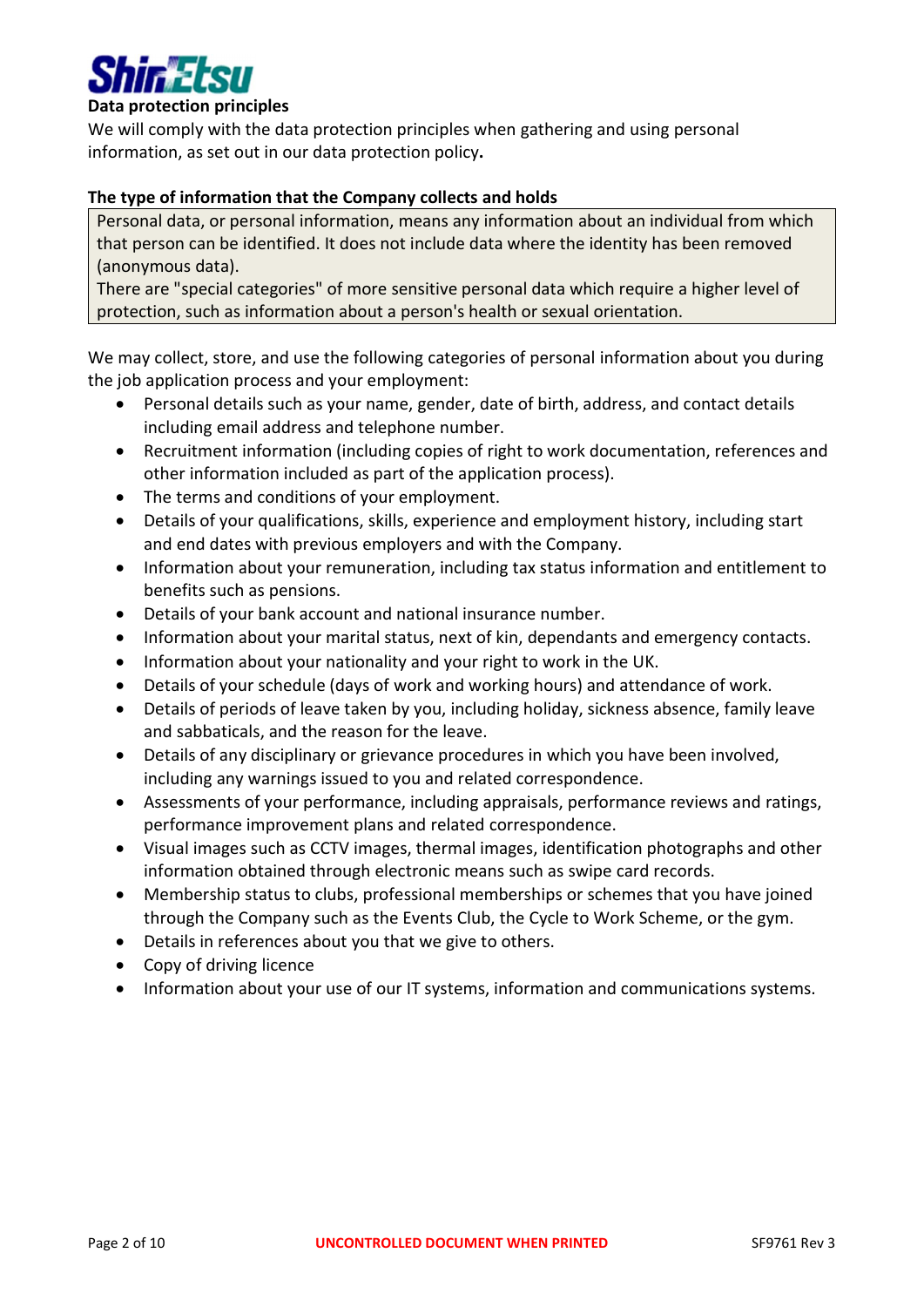

### Data protection principles

We will comply with the data protection principles when gathering and using personal information, as set out in our data protection policy.

### The type of information that the Company collects and holds

Personal data, or personal information, means any information about an individual from which that person can be identified. It does not include data where the identity has been removed (anonymous data).

There are "special categories" of more sensitive personal data which require a higher level of protection, such as information about a person's health or sexual orientation.

We may collect, store, and use the following categories of personal information about you during the job application process and your employment:

- Personal details such as your name, gender, date of birth, address, and contact details including email address and telephone number.
- Recruitment information (including copies of right to work documentation, references and other information included as part of the application process).
- The terms and conditions of your employment.
- Details of your qualifications, skills, experience and employment history, including start and end dates with previous employers and with the Company.
- Information about your remuneration, including tax status information and entitlement to benefits such as pensions.
- Details of your bank account and national insurance number.
- Information about your marital status, next of kin, dependants and emergency contacts.
- Information about your nationality and your right to work in the UK.
- Details of your schedule (days of work and working hours) and attendance of work.
- Details of periods of leave taken by you, including holiday, sickness absence, family leave and sabbaticals, and the reason for the leave.
- Details of any disciplinary or grievance procedures in which you have been involved, including any warnings issued to you and related correspondence.
- Assessments of your performance, including appraisals, performance reviews and ratings, performance improvement plans and related correspondence.
- Visual images such as CCTV images, thermal images, identification photographs and other information obtained through electronic means such as swipe card records.
- Membership status to clubs, professional memberships or schemes that you have joined through the Company such as the Events Club, the Cycle to Work Scheme, or the gym.
- Details in references about you that we give to others.
- Copy of driving licence
- Information about your use of our IT systems, information and communications systems.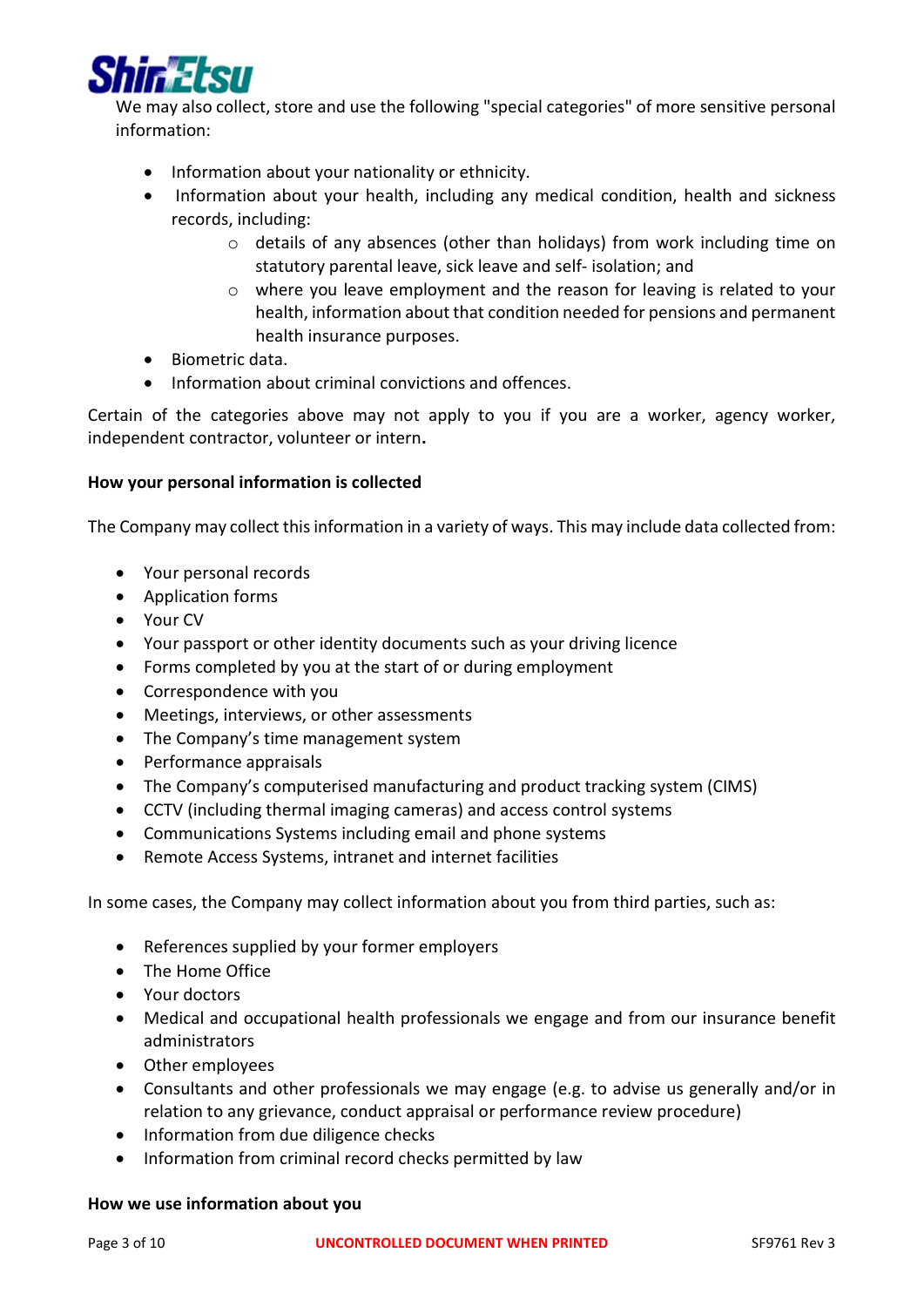

We may also collect, store and use the following "special categories" of more sensitive personal information:

- Information about your nationality or ethnicity.
- Information about your health, including any medical condition, health and sickness records, including:
	- o details of any absences (other than holidays) from work including time on statutory parental leave, sick leave and self- isolation; and
	- o where you leave employment and the reason for leaving is related to your health, information about that condition needed for pensions and permanent health insurance purposes.
- Biometric data.
- Information about criminal convictions and offences.

Certain of the categories above may not apply to you if you are a worker, agency worker, independent contractor, volunteer or intern.

## How your personal information is collected

The Company may collect this information in a variety of ways. This may include data collected from:

- Your personal records
- Application forms
- Your CV
- Your passport or other identity documents such as your driving licence
- Forms completed by you at the start of or during employment
- Correspondence with you
- Meetings, interviews, or other assessments
- The Company's time management system
- Performance appraisals
- The Company's computerised manufacturing and product tracking system (CIMS)
- CCTV (including thermal imaging cameras) and access control systems
- Communications Systems including email and phone systems
- Remote Access Systems, intranet and internet facilities

In some cases, the Company may collect information about you from third parties, such as:

- References supplied by your former employers
- The Home Office
- Your doctors
- Medical and occupational health professionals we engage and from our insurance benefit administrators
- Other employees
- Consultants and other professionals we may engage (e.g. to advise us generally and/or in relation to any grievance, conduct appraisal or performance review procedure)
- Information from due diligence checks
- Information from criminal record checks permitted by law

### How we use information about you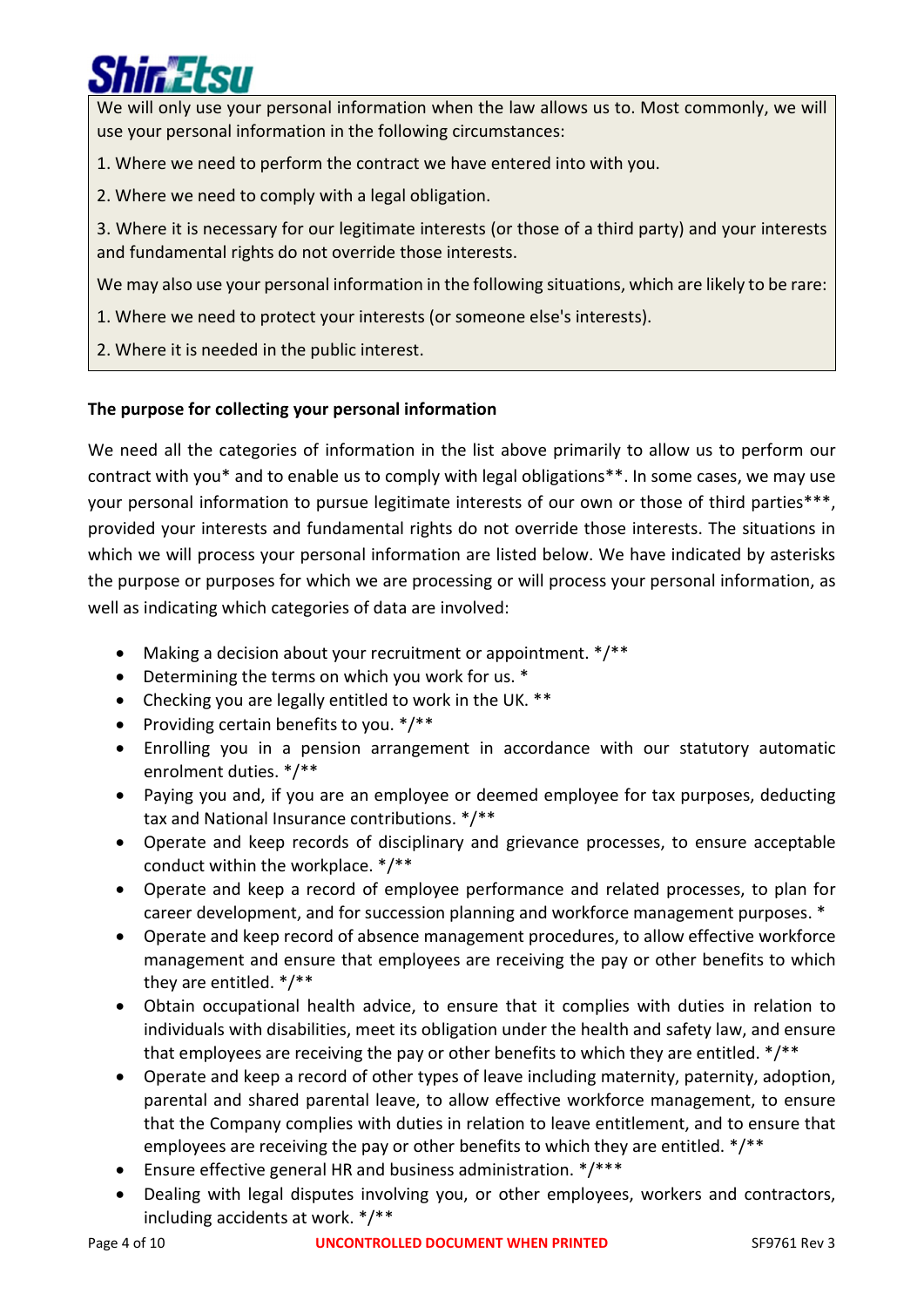We will only use your personal information when the law allows us to. Most commonly, we will use your personal information in the following circumstances:

- 1. Where we need to perform the contract we have entered into with you.
- 2. Where we need to comply with a legal obligation.

3. Where it is necessary for our legitimate interests (or those of a third party) and your interests and fundamental rights do not override those interests.

We may also use your personal information in the following situations, which are likely to be rare:

- 1. Where we need to protect your interests (or someone else's interests).
- 2. Where it is needed in the public interest.

# The purpose for collecting your personal information

We need all the categories of information in the list above primarily to allow us to perform our contract with you\* and to enable us to comply with legal obligations\*\*. In some cases, we may use your personal information to pursue legitimate interests of our own or those of third parties\*\*\*, provided your interests and fundamental rights do not override those interests. The situations in which we will process your personal information are listed below. We have indicated by asterisks the purpose or purposes for which we are processing or will process your personal information, as well as indicating which categories of data are involved:

- Making a decision about your recruitment or appointment.  $*/**$
- Determining the terms on which you work for us. \*
- Checking you are legally entitled to work in the UK. \*\*
- Providing certain benefits to you.  $*/**$
- Enrolling you in a pension arrangement in accordance with our statutory automatic enrolment duties. \*/\*\*
- Paying you and, if you are an employee or deemed employee for tax purposes, deducting tax and National Insurance contributions. \*/\*\*
- Operate and keep records of disciplinary and grievance processes, to ensure acceptable conduct within the workplace. \*/\*\*
- Operate and keep a record of employee performance and related processes, to plan for career development, and for succession planning and workforce management purposes. \*
- Operate and keep record of absence management procedures, to allow effective workforce management and ensure that employees are receiving the pay or other benefits to which they are entitled. \*/\*\*
- Obtain occupational health advice, to ensure that it complies with duties in relation to individuals with disabilities, meet its obligation under the health and safety law, and ensure that employees are receiving the pay or other benefits to which they are entitled. \*/\*\*
- Operate and keep a record of other types of leave including maternity, paternity, adoption, parental and shared parental leave, to allow effective workforce management, to ensure that the Company complies with duties in relation to leave entitlement, and to ensure that employees are receiving the pay or other benefits to which they are entitled. \*/\*\*
- Ensure effective general HR and business administration. \*/\*\*\*
- Dealing with legal disputes involving you, or other employees, workers and contractors, including accidents at work. \*/\*\*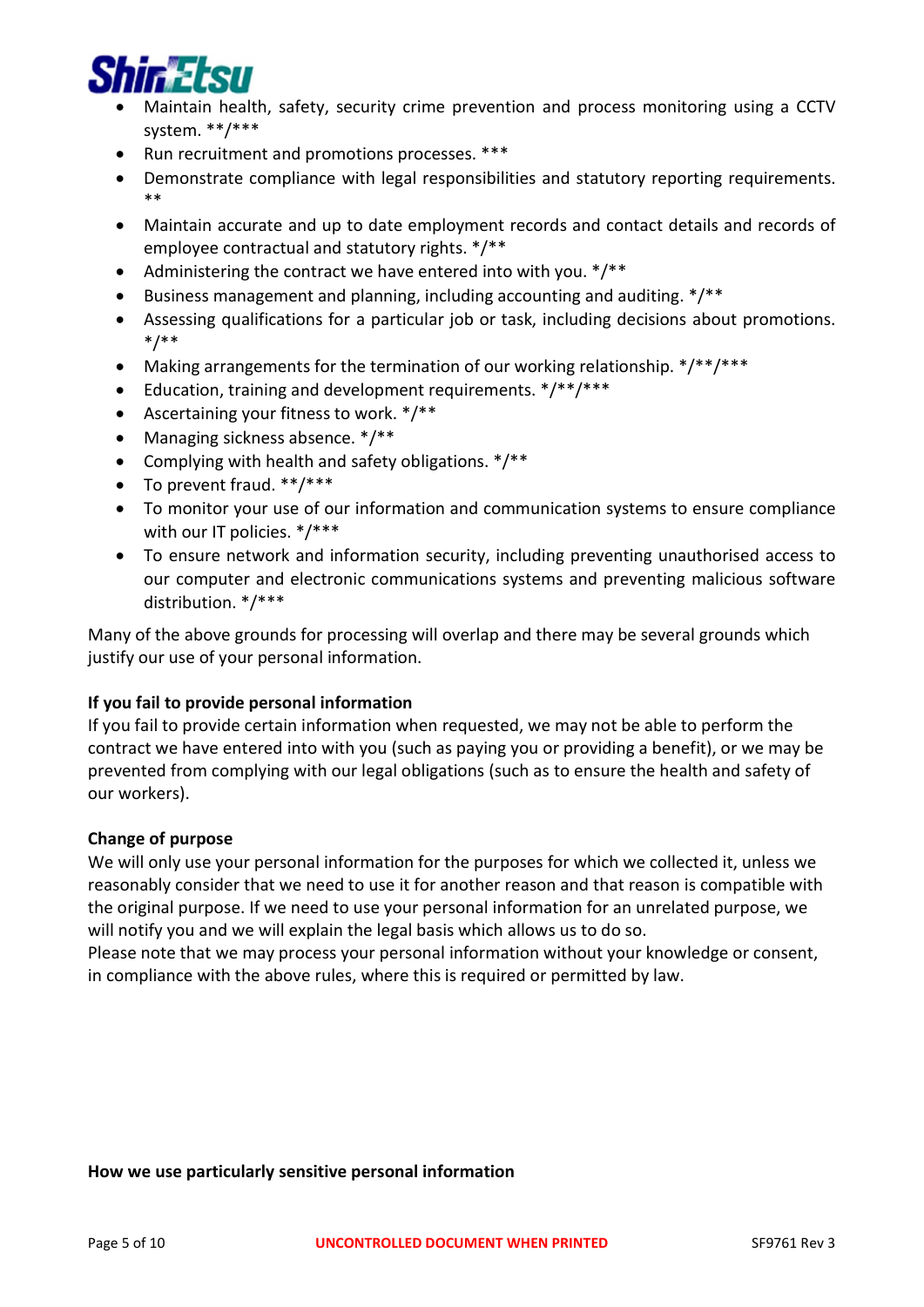

- Maintain health, safety, security crime prevention and process monitoring using a CCTV system. \*\*/\*\*\*
- Run recruitment and promotions processes. \*\*\*
- Demonstrate compliance with legal responsibilities and statutory reporting requirements. \*\*
- Maintain accurate and up to date employment records and contact details and records of employee contractual and statutory rights. \*/\*\*
- Administering the contract we have entered into with you.  $*/**$
- Business management and planning, including accounting and auditing. \*/\*\*
- Assessing qualifications for a particular job or task, including decisions about promotions. \*/\*\*
- Making arrangements for the termination of our working relationship. \*/\*\*/\*\*\*
- Education, training and development requirements. \*/\*\*/\*\*\*
- Ascertaining your fitness to work. \*/\*\*
- Managing sickness absence. \*/\*\*
- Complying with health and safety obligations.  $*/**$
- To prevent fraud. \*\*/\*\*\*
- To monitor your use of our information and communication systems to ensure compliance with our IT policies. \*/\*\*\*
- To ensure network and information security, including preventing unauthorised access to our computer and electronic communications systems and preventing malicious software distribution. \*/\*\*\*

Many of the above grounds for processing will overlap and there may be several grounds which justify our use of your personal information.

## If you fail to provide personal information

If you fail to provide certain information when requested, we may not be able to perform the contract we have entered into with you (such as paying you or providing a benefit), or we may be prevented from complying with our legal obligations (such as to ensure the health and safety of our workers).

## Change of purpose

We will only use your personal information for the purposes for which we collected it, unless we reasonably consider that we need to use it for another reason and that reason is compatible with the original purpose. If we need to use your personal information for an unrelated purpose, we will notify you and we will explain the legal basis which allows us to do so.

Please note that we may process your personal information without your knowledge or consent, in compliance with the above rules, where this is required or permitted by law.

### How we use particularly sensitive personal information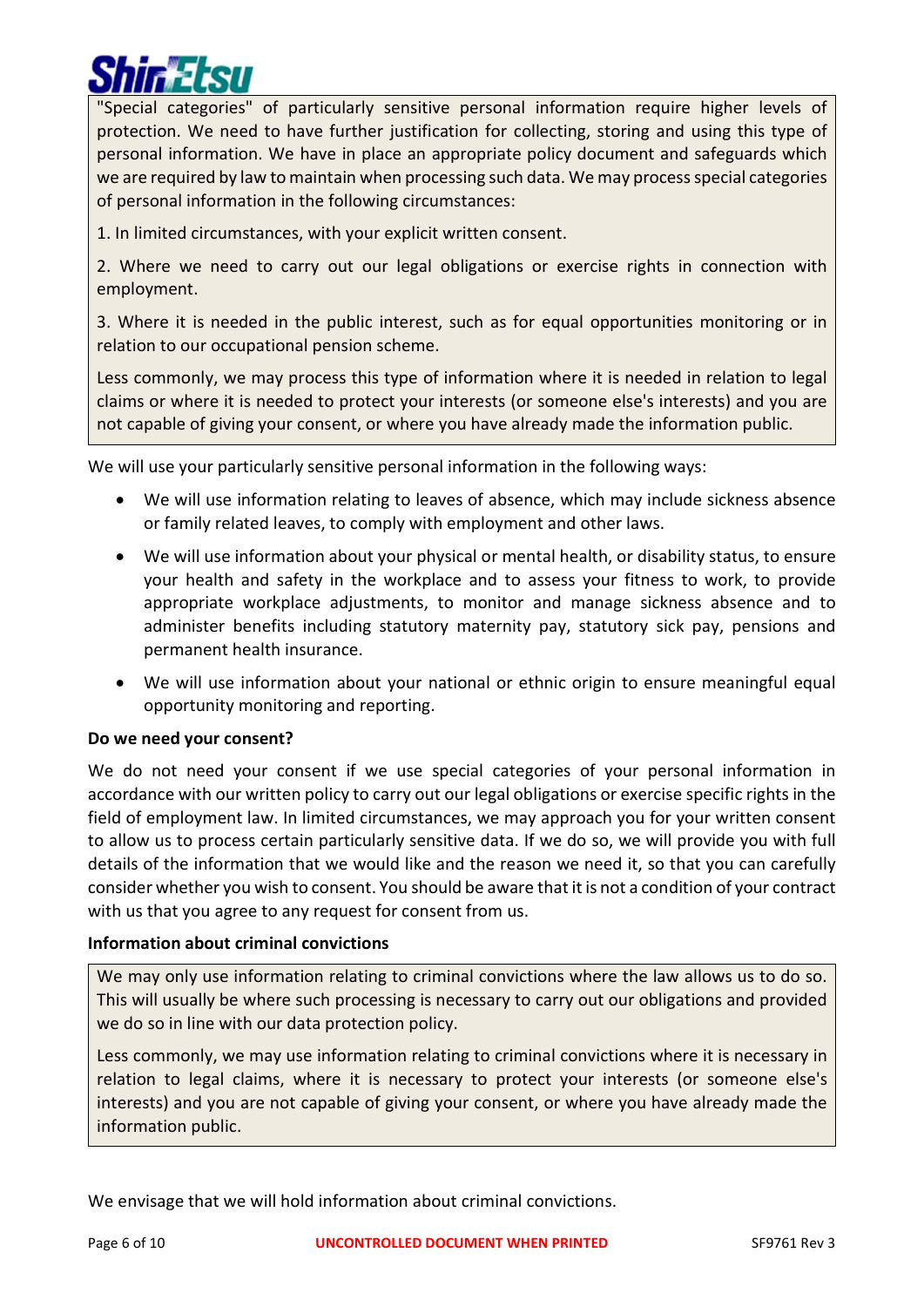"Special categories" of particularly sensitive personal information require higher levels of protection. We need to have further justification for collecting, storing and using this type of personal information. We have in place an appropriate policy document and safeguards which we are required by law to maintain when processing such data. We may process special categories of personal information in the following circumstances:

1. In limited circumstances, with your explicit written consent.

2. Where we need to carry out our legal obligations or exercise rights in connection with employment.

3. Where it is needed in the public interest, such as for equal opportunities monitoring or in relation to our occupational pension scheme.

Less commonly, we may process this type of information where it is needed in relation to legal claims or where it is needed to protect your interests (or someone else's interests) and you are not capable of giving your consent, or where you have already made the information public.

We will use your particularly sensitive personal information in the following ways:

- We will use information relating to leaves of absence, which may include sickness absence or family related leaves, to comply with employment and other laws.
- We will use information about your physical or mental health, or disability status, to ensure your health and safety in the workplace and to assess your fitness to work, to provide appropriate workplace adjustments, to monitor and manage sickness absence and to administer benefits including statutory maternity pay, statutory sick pay, pensions and permanent health insurance.
- We will use information about your national or ethnic origin to ensure meaningful equal opportunity monitoring and reporting.

## Do we need your consent?

We do not need your consent if we use special categories of your personal information in accordance with our written policy to carry out our legal obligations or exercise specific rights in the field of employment law. In limited circumstances, we may approach you for your written consent to allow us to process certain particularly sensitive data. If we do so, we will provide you with full details of the information that we would like and the reason we need it, so that you can carefully consider whether you wish to consent. You should be aware that it is not a condition of your contract with us that you agree to any request for consent from us.

## Information about criminal convictions

We may only use information relating to criminal convictions where the law allows us to do so. This will usually be where such processing is necessary to carry out our obligations and provided we do so in line with our data protection policy.

Less commonly, we may use information relating to criminal convictions where it is necessary in relation to legal claims, where it is necessary to protect your interests (or someone else's interests) and you are not capable of giving your consent, or where you have already made the information public.

We envisage that we will hold information about criminal convictions.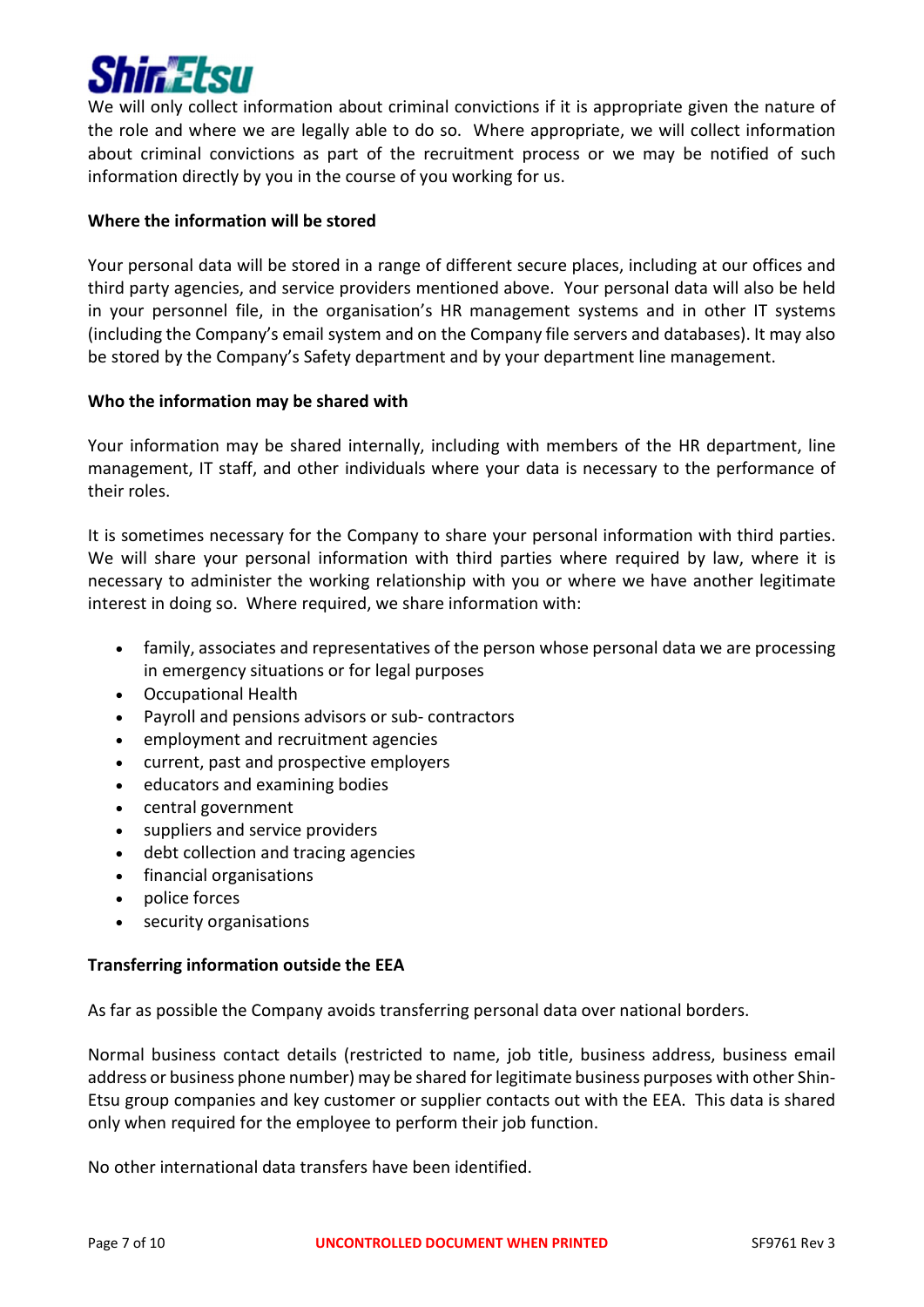

We will only collect information about criminal convictions if it is appropriate given the nature of the role and where we are legally able to do so. Where appropriate, we will collect information about criminal convictions as part of the recruitment process or we may be notified of such information directly by you in the course of you working for us.

## Where the information will be stored

Your personal data will be stored in a range of different secure places, including at our offices and third party agencies, and service providers mentioned above. Your personal data will also be held in your personnel file, in the organisation's HR management systems and in other IT systems (including the Company's email system and on the Company file servers and databases). It may also be stored by the Company's Safety department and by your department line management.

## Who the information may be shared with

Your information may be shared internally, including with members of the HR department, line management, IT staff, and other individuals where your data is necessary to the performance of their roles.

It is sometimes necessary for the Company to share your personal information with third parties. We will share your personal information with third parties where required by law, where it is necessary to administer the working relationship with you or where we have another legitimate interest in doing so. Where required, we share information with:

- family, associates and representatives of the person whose personal data we are processing in emergency situations or for legal purposes
- Occupational Health
- Payroll and pensions advisors or sub- contractors
- employment and recruitment agencies
- current, past and prospective employers
- educators and examining bodies
- central government
- suppliers and service providers
- debt collection and tracing agencies
- financial organisations
- police forces
- security organisations

## Transferring information outside the EEA

As far as possible the Company avoids transferring personal data over national borders.

Normal business contact details (restricted to name, job title, business address, business email address or business phone number) may be shared for legitimate business purposes with other Shin-Etsu group companies and key customer or supplier contacts out with the EEA. This data is shared only when required for the employee to perform their job function.

No other international data transfers have been identified.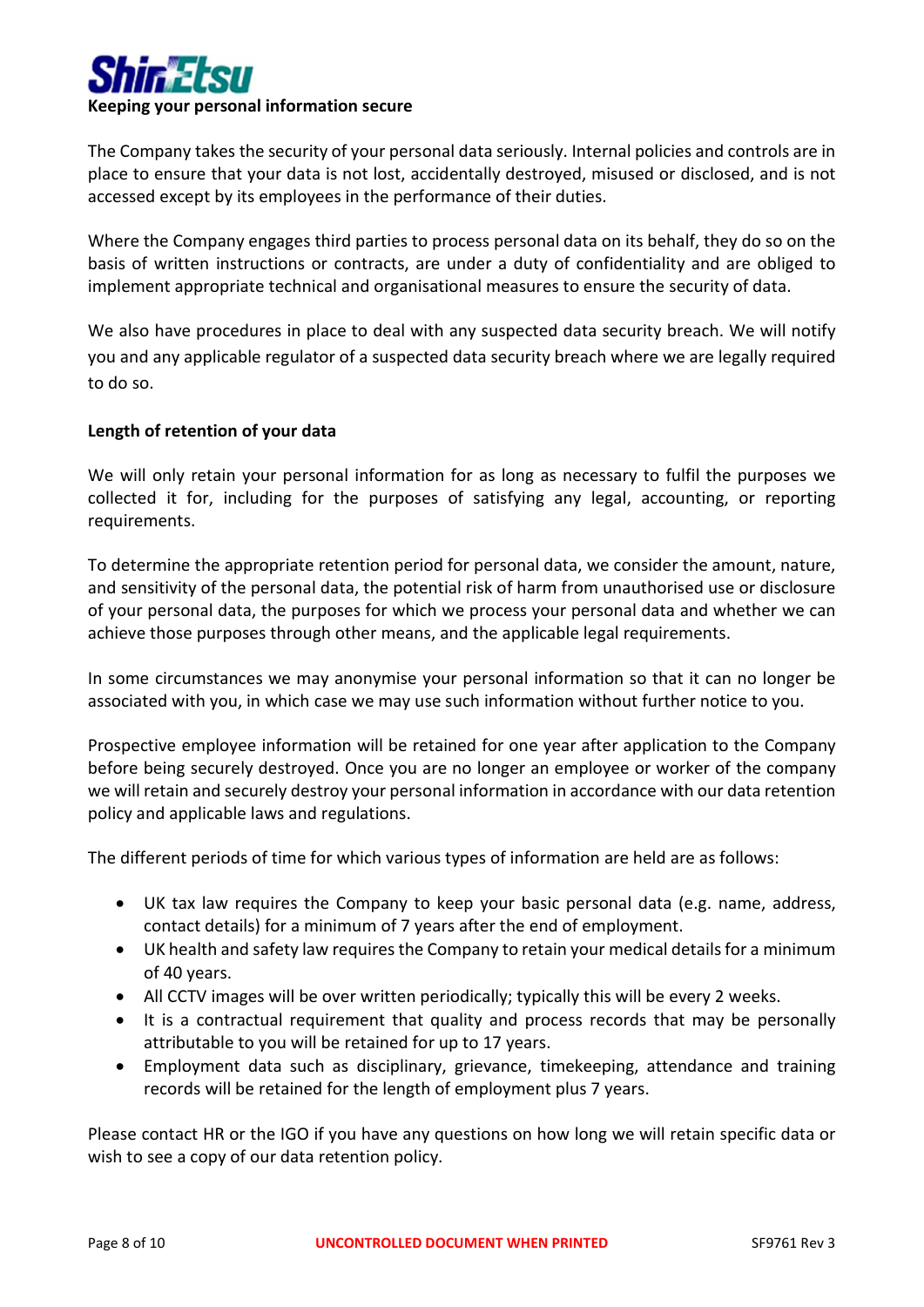

The Company takes the security of your personal data seriously. Internal policies and controls are in place to ensure that your data is not lost, accidentally destroyed, misused or disclosed, and is not accessed except by its employees in the performance of their duties.

Where the Company engages third parties to process personal data on its behalf, they do so on the basis of written instructions or contracts, are under a duty of confidentiality and are obliged to implement appropriate technical and organisational measures to ensure the security of data.

We also have procedures in place to deal with any suspected data security breach. We will notify you and any applicable regulator of a suspected data security breach where we are legally required to do so.

## Length of retention of your data

We will only retain your personal information for as long as necessary to fulfil the purposes we collected it for, including for the purposes of satisfying any legal, accounting, or reporting requirements.

To determine the appropriate retention period for personal data, we consider the amount, nature, and sensitivity of the personal data, the potential risk of harm from unauthorised use or disclosure of your personal data, the purposes for which we process your personal data and whether we can achieve those purposes through other means, and the applicable legal requirements.

In some circumstances we may anonymise your personal information so that it can no longer be associated with you, in which case we may use such information without further notice to you.

Prospective employee information will be retained for one year after application to the Company before being securely destroyed. Once you are no longer an employee or worker of the company we will retain and securely destroy your personal information in accordance with our data retention policy and applicable laws and regulations.

The different periods of time for which various types of information are held are as follows:

- UK tax law requires the Company to keep your basic personal data (e.g. name, address, contact details) for a minimum of 7 years after the end of employment.
- UK health and safety law requires the Company to retain your medical details for a minimum of 40 years.
- All CCTV images will be over written periodically; typically this will be every 2 weeks.
- It is a contractual requirement that quality and process records that may be personally attributable to you will be retained for up to 17 years.
- Employment data such as disciplinary, grievance, timekeeping, attendance and training records will be retained for the length of employment plus 7 years.

Please contact HR or the IGO if you have any questions on how long we will retain specific data or wish to see a copy of our data retention policy.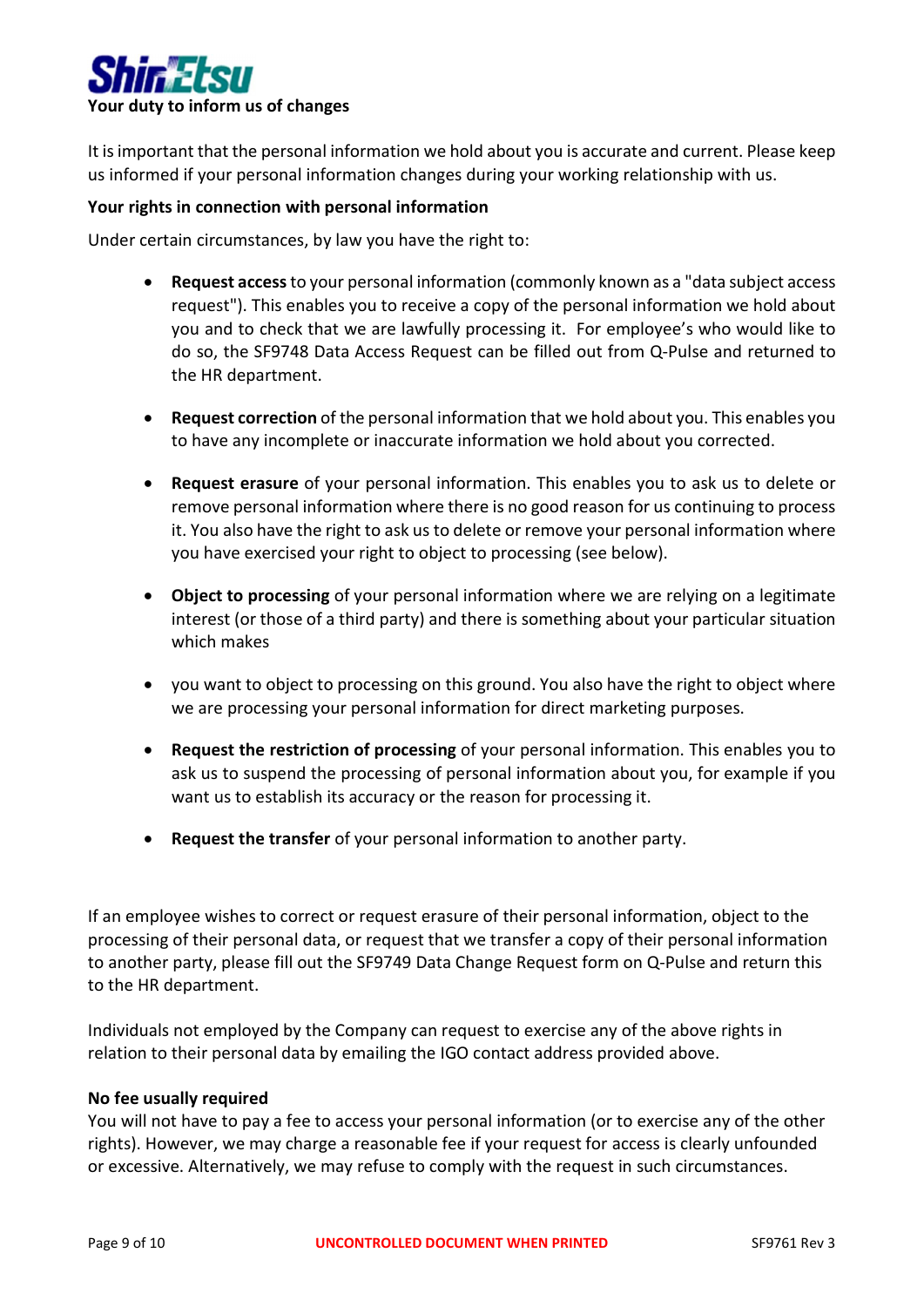

It is important that the personal information we hold about you is accurate and current. Please keep us informed if your personal information changes during your working relationship with us.

### Your rights in connection with personal information

Under certain circumstances, by law you have the right to:

- Request access to your personal information (commonly known as a "data subject access request"). This enables you to receive a copy of the personal information we hold about you and to check that we are lawfully processing it. For employee's who would like to do so, the SF9748 Data Access Request can be filled out from Q-Pulse and returned to the HR department.
- Request correction of the personal information that we hold about you. This enables you to have any incomplete or inaccurate information we hold about you corrected.
- Request erasure of your personal information. This enables you to ask us to delete or remove personal information where there is no good reason for us continuing to process it. You also have the right to ask us to delete or remove your personal information where you have exercised your right to object to processing (see below).
- Object to processing of your personal information where we are relying on a legitimate interest (or those of a third party) and there is something about your particular situation which makes
- you want to object to processing on this ground. You also have the right to object where we are processing your personal information for direct marketing purposes.
- Request the restriction of processing of your personal information. This enables you to ask us to suspend the processing of personal information about you, for example if you want us to establish its accuracy or the reason for processing it.
- Request the transfer of your personal information to another party.

If an employee wishes to correct or request erasure of their personal information, object to the processing of their personal data, or request that we transfer a copy of their personal information to another party, please fill out the SF9749 Data Change Request form on Q-Pulse and return this to the HR department.

Individuals not employed by the Company can request to exercise any of the above rights in relation to their personal data by emailing the IGO contact address provided above.

### No fee usually required

You will not have to pay a fee to access your personal information (or to exercise any of the other rights). However, we may charge a reasonable fee if your request for access is clearly unfounded or excessive. Alternatively, we may refuse to comply with the request in such circumstances.